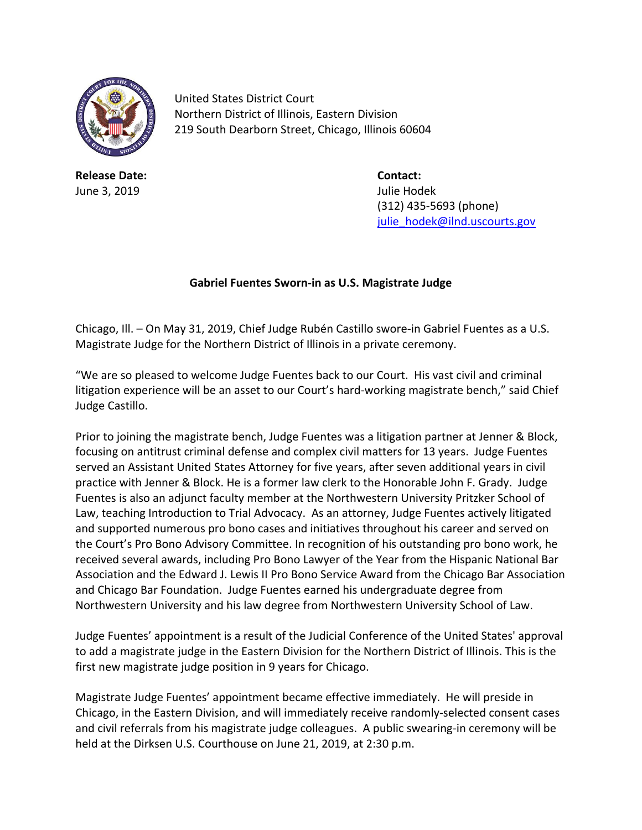

United States District Court Northern District of Illinois, Eastern Division 219 South Dearborn Street, Chicago, Illinois 60604

**Release Date: Contact:** June 3, 2019 Julie Hodek

(312) 435-5693 (phone) [julie\\_hodek@ilnd.uscourts.gov](mailto:julie_hodek@ilnd.uscourts.gov)

## **Gabriel Fuentes Sworn-in as U.S. Magistrate Judge**

Chicago, Ill. – On May 31, 2019, Chief Judge Rubén Castillo swore-in Gabriel Fuentes as a U.S. Magistrate Judge for the Northern District of Illinois in a private ceremony.

"We are so pleased to welcome Judge Fuentes back to our Court. His vast civil and criminal litigation experience will be an asset to our Court's hard-working magistrate bench," said Chief Judge Castillo.

Prior to joining the magistrate bench, Judge Fuentes was a litigation partner at Jenner & Block, focusing on antitrust criminal defense and complex civil matters for 13 years. Judge Fuentes served an Assistant United States Attorney for five years, after seven additional years in civil practice with Jenner & Block. He is a former law clerk to the Honorable John F. Grady. Judge Fuentes is also an adjunct faculty member at the Northwestern University Pritzker School of Law, teaching Introduction to Trial Advocacy. As an attorney, Judge Fuentes actively litigated and supported numerous pro bono cases and initiatives throughout his career and served on the Court's Pro Bono Advisory Committee. In recognition of his outstanding pro bono work, he received several awards, including Pro Bono Lawyer of the Year from the Hispanic National Bar Association and the Edward J. Lewis II Pro Bono Service Award from the Chicago Bar Association and Chicago Bar Foundation. Judge Fuentes earned his undergraduate degree from Northwestern University and his law degree from Northwestern University School of Law.

Judge Fuentes' appointment is a result of the Judicial Conference of the United States' approval to add a magistrate judge in the Eastern Division for the Northern District of Illinois. This is the first new magistrate judge position in 9 years for Chicago.

Magistrate Judge Fuentes' appointment became effective immediately. He will preside in Chicago, in the Eastern Division, and will immediately receive randomly-selected consent cases and civil referrals from his magistrate judge colleagues. A public swearing-in ceremony will be held at the Dirksen U.S. Courthouse on June 21, 2019, at 2:30 p.m.